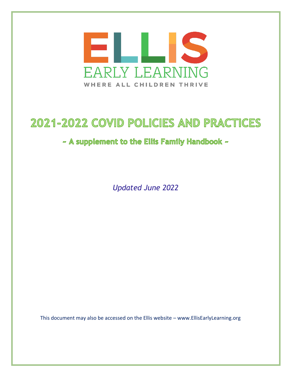

# 2021-2022 COVID POLICIES AND PRACTICES

## ~ A supplement to the Ellis Family Handbook ~

*Updated June 2022*

This document may also be accessed on the Ellis website – www.EllisEarlyLearning.org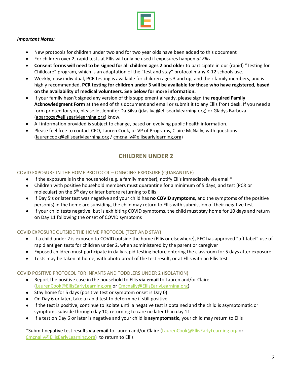

#### *Important Notes:*

- New protocols for children under two and for two year olds have been added to this document
- For children over 2, rapid tests at Ellis will only be used if exposures happen *at Ellis*
- **Consent forms will need to be signed for all children ages 2 and older** to participate in our (rapid) "Testing for Childcare" program, which is an adaptation of the "test and stay" protocol many K-12 schools use.
- Weekly, now individual, PCR testing is available for children ages 3 and up, and their family members, and is highly recommended. **PCR testing for children under 3 will be available for those who have registered, based on the availability of medical volunteers. See below for more information.**
- If your family hasn't signed any version of this supplement already, please sign the **required Family Acknowledgment Form** at the end of this document and email or submit it to any Ellis front desk. If you need a form printed for you, please let Jennifer Da Silva [\(jdasilva@ellisearlylearning.org\)](mailto:jdasilva@ellisearlylearning.org) or Gladys Barboza (gbarboza@ellisearlylearning.org) know.
- All information provided is subject to change, based on evolving public health information.
- Please feel free to contact CEO, Lauren Cook, or VP of Programs, Claire McNally, with questions [\(laurencook@ellisearlylearning.org](mailto:laurencook@ellisearlylearning.org) [/ cmcnally@ellisearlylearning.org\)](mailto:cmcnally@ellisearlylearning.org)

## **CHILDREN UNDER 2**

### COVID EXPOSURE IN THE HOME PROTOCOL – ONGOING EXPOSURE (QUARANTINE)

- $\bullet$  If the exposure is in the household (e.g. a family member), notify Ellis immediately via email\*
- Children with positive household members must quarantine for a minimum of 5 days, and test (PCR or molecular) on the 5<sup>th</sup> day or later before returning to Ellis
- If Day 5's or later test was negative and your child has **no COVID symptoms**, and the symptoms of the positive person(s) in the home are subsiding, the child may return to Ellis with submission of their negative test
- If your child tests negative, but is exhibiting COVID symptoms, the child must stay home for 10 days and return on Day 11 following the onset of COVID symptoms

#### COVID EXPOSURE OUTSIDE THE HOME PROTOCOL (TEST AND STAY)

- If a child under 2 is exposed to COVID outside the home (Ellis or elsewhere), EEC has approved "off-label" use of rapid antigen tests for children under 2, when administered by the parent or caregiver
- Exposed children must participate in daily rapid testing before entering the classroom for 5 days after exposure
- Tests may be taken at home, with photo proof of the test result, or at Ellis with an Ellis test

#### COVID POSITIVE PROTOCOL FOR INFANTS AND TODDLERS UNDER 2 (ISOLATION)

- Report the positive case in the household to Ellis **via email** to Lauren and/or Claire [\(LaurenCook@EllisEarlyLearning.org](mailto:LaurenCook@EllisEarlyLearning.org) or [Cmcnally@EllisEarlyLearning.org\)](mailto:Cmcnally@EllisEarlyLearning.org)
- Stay home for 5 days (positive test or symptom onset is Day 0)
- On Day 6 or later, take a rapid test to determine if still positive
- If the test is positive, continue to isolate until a negative test is obtained and the child is asymptomatic or symptoms subside through day 10, returning to care no later than day 11
- If a test on Day 6 or later is negative and your child is **asymptomatic**, your child may return to Ellis

\*Submit negative test results **via email** to Lauren and/or Claire [\(LaurenCook@EllisEarlyLearning.org](mailto:LaurenCook@EllisEarlyLearning.org) or [Cmcnally@EllisEarlyLearning.org\)](mailto:Cmcnally@EllisEarlyLearning.org) to return to Ellis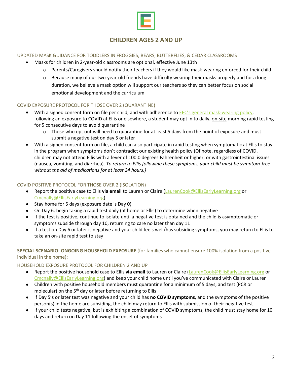

## **CHILDREN AGES 2 AND UP**

## UPDATED MASK GUIDANCE FOR TODDLERS IN FROGGIES, BEARS, BUTTERFLIES, & CEDAR CLASSROOMS

- Masks for children in 2-year-old classrooms are optional, effective June 13th
	- o Parents/Caregivers should notify their teachers if they would like mask-wearing enforced for their child
	- $\circ$  Because many of our two-year-old friends have difficulty wearing their masks properly and for a long duration, we believe a mask option will support our teachers so they can better focus on social emotional development and the curriculum

## COVID EXPOSURE PROTOCOL FOR THOSE OVER 2 (QUARANTINE)

- With a signed consent form on file per child, and with adherence to **[EEC's general mask](https://www.mass.gov/doc/mask-usage-in-eec-child-care-programs/download)-wearing policy**, following an exposure to COVID at Ellis or elsewhere, a student may opt in to daily, on-site morning rapid testing for 5 consecutive days to avoid quarantine
	- $\circ$  Those who opt out will need to quarantine for at least 5 days from the point of exposure and must submit a negative test on day 5 or later
- With a signed consent form on file, a child can also participate in rapid testing when symptomatic at Ellis to stay in the program when symptoms don't contradict our existing health policy (Of note, regardless of COVID, children may not attend Ellis with a fever of 100.0 degrees Fahrenheit or higher, or with gastrointestinal issues (nausea, vomiting, and diarrhea). *To return to Ellis following these symptoms, your child must be symptom-free without the aid of medications for at least 24 hours.)*

### COVID POSITIVE PROTOCOL FOR THOSE OVER 2 (ISOLATION)

- Report the positive case to Ellis **via email** to Lauren or Claire [\(LaurenCook@EllisEarlyLearning.org](mailto:LaurenCook@EllisEarlyLearning.org) or [Cmcnally@EllisEarlyLearning.org\)](mailto:Cmcnally@EllisEarlyLearning.org)
- Stay home for 5 days (exposure date is Day 0)
- On Day 6, begin taking a rapid test daily (at home or Ellis) to determine when negative
- If the test is positive, continue to isolate until a negative test is obtained and the child is asymptomatic or symptoms subside through day 10, returning to care no later than day 11
- If a test on Day 6 or later is negative and your child feels well/has subsiding symptoms, you may return to Ellis to take an on-site rapid test to stay

## **SPECIAL SCENARIO- ONGOING HOUSEHOLD EXPOSURE** (for families who cannot ensure 100% isolation from a positive individual in the home):

#### HOUSEHOLD EXPOSURE PROTOCOL FOR CHILDREN 2 AND UP

- Report the positive household case to Ellis **via email** to Lauren or Claire [\(LaurenCook@EllisEarlyLearning.org](mailto:LaurenCook@EllisEarlyLearning.org) or [Cmcnally@EllisEarlyLearning.org](mailto:Cmcnally@EllisEarlyLearning.org)) and keep your child home until you've communicated with Claire or Lauren
- Children with positive household members must quarantine for a minimum of 5 days, and test (PCR or molecular) on the  $5<sup>th</sup>$  day or later before returning to Ellis
- If Day 5's or later test was negative and your child has **no COVID symptoms**, and the symptoms of the positive person(s) in the home are subsiding, the child may return to Ellis with submission of their negative test
- If your child tests negative, but is exhibiting a combination of COVID symptoms, the child must stay home for 10 days and return on Day 11 following the onset of symptoms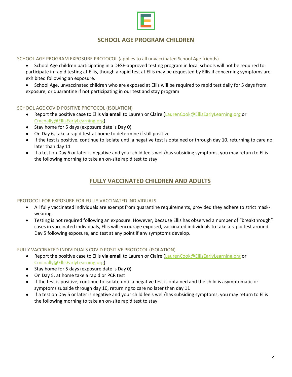

## **SCHOOL AGE PROGRAM CHILDREN**

SCHOOL AGE PROGRAM EXPOSURE PROTOCOL (applies to all unvaccinated School Age friends)

- School Age children participating in a DESE-approved testing program in local schools will not be required to participate in rapid testing at Ellis, though a rapid test at Ellis may be requested by Ellis if concerning symptoms are exhibited following an exposure.
- School Age, unvaccinated children who are exposed at Ellis will be required to rapid test daily for 5 days from exposure, or quarantine if not participating in our test and stay program

#### SCHOOL AGE COVID POSITIVE PROTOCOL (ISOLATION)

- Report the positive case to Ellis **via email** to Lauren or Claire [\(LaurenCook@EllisEarlyLearning.org](mailto:LaurenCook@EllisEarlyLearning.org) or [Cmcnally@EllisEarlyLearning.org\)](mailto:Cmcnally@EllisEarlyLearning.org)
- Stay home for 5 days (exposure date is Day 0)
- On Day 6, take a rapid test at home to determine if still positive
- If the test is positive, continue to isolate until a negative test is obtained or through day 10, returning to care no later than day 11
- If a test on Day 6 or later is negative and your child feels well/has subsiding symptoms, you may return to Ellis the following morning to take an on-site rapid test to stay

## **FULLY VACCINATED CHILDREN AND ADULTS**

#### PROTOCOL FOR EXPOSURE FOR FULLY VACCINATED INDIVIDUALS

- All fully vaccinated individuals are exempt from quarantine requirements, provided they adhere to strict maskwearing.
- Testing is not required following an exposure. However, because Ellis has observed a number of "breakthrough" cases in vaccinated individuals, Ellis will encourage exposed, vaccinated individuals to take a rapid test around Day 5 following exposure, and test at any point if any symptoms develop.

#### FULLY VACCINATED INDIVIDUALS COVID POSITIVE PROTOCOL (ISOLATION)

- Report the positive case to Ellis **via email** to Lauren or Claire [\(LaurenCook@EllisEarlyLearning.org](mailto:LaurenCook@EllisEarlyLearning.org) or [Cmcnally@EllisEarlyLearning.org\)](mailto:Cmcnally@EllisEarlyLearning.org)
- Stay home for 5 days (exposure date is Day 0)
- On Day 5, at home take a rapid or PCR test
- If the test is positive, continue to isolate until a negative test is obtained and the child is asymptomatic or symptoms subside through day 10, returning to care no later than day 11
- If a test on Day 5 or later is negative and your child feels well/has subsiding symptoms, you may return to Ellis the following morning to take an on-site rapid test to stay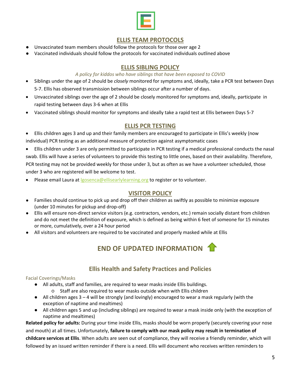

## **ELLIS TEAM PROTOCOLS**

- Unvaccinated team members should follow the protocols for those over age 2
- Vaccinated individuals should follow the protocols for vaccinated individuals outlined above

## **ELLIS SIBLING POLICY**

## *A policy for kiddos who have siblings that have been exposed to COVID*

- Siblings under the age of 2 should be *closely* monitored for symptoms and, ideally, take a PCR test between Days 5-7. Ellis has observed transmission between siblings occur after a number of days.
- Unvaccinated siblings over the age of 2 should be closely monitored for symptoms and, ideally, participate in rapid testing between days 3-6 when at Ellis
- Vaccinated siblings should monitor for symptoms and ideally take a rapid test at Ellis between Days 5-7

## **ELLIS PCR TESTING**

- Ellis children ages 3 and up and their family members are encouraged to participate in Ellis's weekly (now individual) PCR testing as an additional measure of protection against asymptomatic cases
- Ellis children under 3 are only permitted to participate in PCR testing if a medical professional conducts the nasal swab. Ellis will have a series of volunteers to provide this testing to little ones, based on their availability. Therefore, PCR testing may not be provided weekly for those under 3, but as often as we have a volunteer scheduled, those under 3 who are registered will be welcome to test.
- Please email Laura at *Igosenca@ellisearlylearning.org* to register or to volunteer.

## **VISITOR POLICY**

- Families should continue to pick up and drop off their children as swiftly as possible to minimize exposure (under 10 minutes for pickup and drop-off)
- Ellis will ensure non-direct service visitors (e.g. contractors, vendors, etc.) remain socially distant from children and do not meet the definition of exposure, which is defined as being within 6 feet of someone for 15 minutes or more, cumulatively, over a 24 hour period
- All visitors and volunteers are required to be vaccinated and properly masked while at Ellis



## **Ellis Health and Safety Practices and Policies**

## Facial Coverings/Masks

- All adults, staff and families, are required to wear masks inside Ellis buildings.
	- Staff are also required to wear masks outside when with Ellis children
- All children ages 3 4 will be strongly (and lovingly) encouraged to wear a mask regularly (with the exception of naptime and mealtimes)
- All children ages 5 and up (including siblings) are required to wear a mask inside only (with the exception of naptime and mealtimes)

**Related policy for adults:** During your time inside Ellis, masks should be worn properly (securely covering your nose and mouth) at all times. Unfortunately, **failure to comply with our mask policy may result in termination of childcare services at Ellis**. When adults are seen out of compliance, they will receive a friendly reminder, which will followed by an issued written reminder if there is a need. Ellis will document who receives written reminders to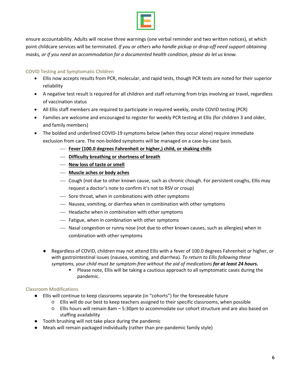

ensure accountability. Adults will receive three warnings (one verbal reminder and two written notices), at which point childcare services will be terminated. *If you or others who handle pickup or drop-off need support obtaining masks, or if you need an accommodation for a documented health condition, please do let us know.*

## COVID Testing and Symptomatic Children

- Ellis now accepts results from PCR, molecular, and rapid tests, though PCR tests are noted for their superior reliability
- A negative test result is required for all children and staff returning from trips involving air travel, regardless of vaccination status
- All Ellis staff members are required to participate in required weekly, onsite COVID testing (PCR)
- Families are welcome and encouraged to register for weekly PCR testing at Ellis (for children 3 and older, and family members)
- The bolded and underlined COVID-19 symptoms below (when they occur alone) require immediate exclusion from care. The non-bolded symptoms will be managed on a case-by-case basis.
	- **Fever (100.0 degrees Fahrenheit or higher,) child, or shaking chills**
	- **Difficulty breathing or shortness of breath**
	- **New loss of taste or smell**
	- **Muscle aches or body aches**
	- Cough (not due to other known cause, such as chronic chough. For persistent coughs, Ellis may request a doctor's note to confirm it's not to RSV or croup)
	- $\overline{\phantom{a}}$  Sore throat, when in combinations with other symptoms
	- Nausea, vomiting, or diarrhea when in combination with other symptoms
	- $-$  Headache when in combination with other symptoms
	- Fatigue, when in combination with other symptoms
	- Nasal congestion or runny nose (not due to other known causes, such as allergies) when in combination with other symptoms
	- Regardless of COVID, children may not attend Ellis with a fever of 100.0 degrees Fahrenheit or higher, or with gastrointestinal issues (nausea, vomiting, and diarrhea). *To return to Ellis following these symptoms, your child must be symptom-free without the aid of medications for at least 24 hours.*
		- Please note, Ellis will be taking a cautious approach to all symptomatic cases during the pandemic.

## Classroom Modifications

- Ellis will continue to keep classrooms separate (in "cohorts") for the foreseeable future
	- Ellis will do our best to keep teachers assigned to their specific classrooms, when possible
	- Ellis hours will remain 8am 5:30pm to accommodate our cohort structure and are also based on staffing availability
- Tooth brushing will not take place during the pandemic
- Meals will remain packaged individually (rather than pre-pandemic family style)